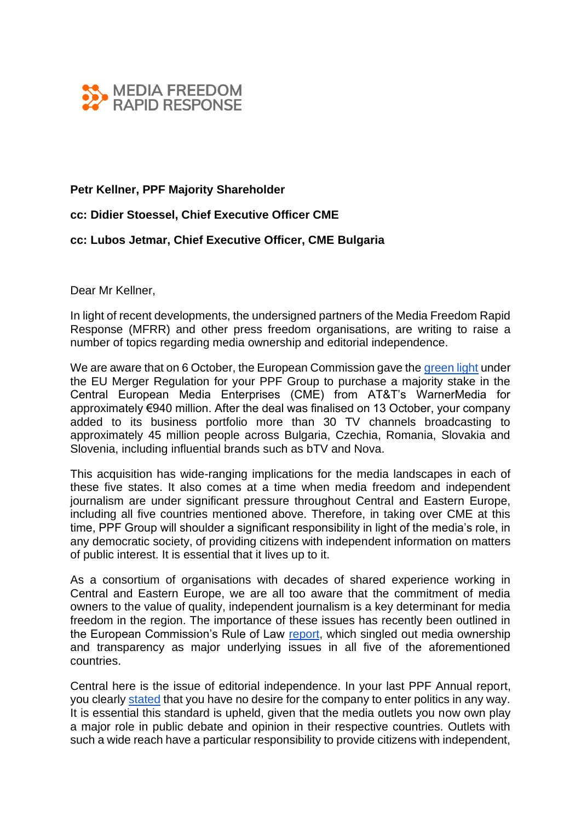

## **Petr Kellner, PPF Majority Shareholder**

## **cc: Didier Stoessel, Chief Executive Officer CME**

## **cc: Lubos Jetmar, Chief Executive Officer, CME Bulgaria**

Dear Mr Kellner,

In light of recent developments, the undersigned partners of the Media Freedom Rapid Response (MFRR) and other press freedom organisations, are writing to raise a number of topics regarding media ownership and editorial independence.

We are aware that on 6 October, the European Commission gave the [green light](https://ec.europa.eu/commission/presscorner/detail/en/ip_20_1842) under the EU Merger Regulation for your PPF Group to purchase a majority stake in the Central European Media Enterprises (CME) from AT&T's WarnerMedia for approximately €940 million. After the deal was finalised on 13 October, your company added to its business portfolio more than 30 TV channels broadcasting to approximately 45 million people across Bulgaria, Czechia, Romania, Slovakia and Slovenia, including influential brands such as bTV and Nova.

This acquisition has wide-ranging implications for the media landscapes in each of these five states. It also comes at a time when media freedom and independent journalism are under significant pressure throughout Central and Eastern Europe, including all five countries mentioned above. Therefore, in taking over CME at this time, PPF Group will shoulder a significant responsibility in light of the media's role, in any democratic society, of providing citizens with independent information on matters of public interest. It is essential that it lives up to it.

As a consortium of organisations with decades of shared experience working in Central and Eastern Europe, we are all too aware that the commitment of media owners to the value of quality, independent journalism is a key determinant for media freedom in the region. The importance of these issues has recently been outlined in the European Commission's Rule of Law [report,](https://ec.europa.eu/info/sites/info/files/communication_2020_rule_of_law_report_en.pdf) which singled out media ownership and transparency as major underlying issues in all five of the aforementioned countries.

Central here is the issue of editorial independence. In your last PPF Annual report, you clearly [stated](https://www.ppf.eu/cs/press-releases/uvodni-slovo-k-vyrocni-zprave-2018) that you have no desire for the company to enter politics in any way. It is essential this standard is upheld, given that the media outlets you now own play a major role in public debate and opinion in their respective countries. Outlets with such a wide reach have a particular responsibility to provide citizens with independent,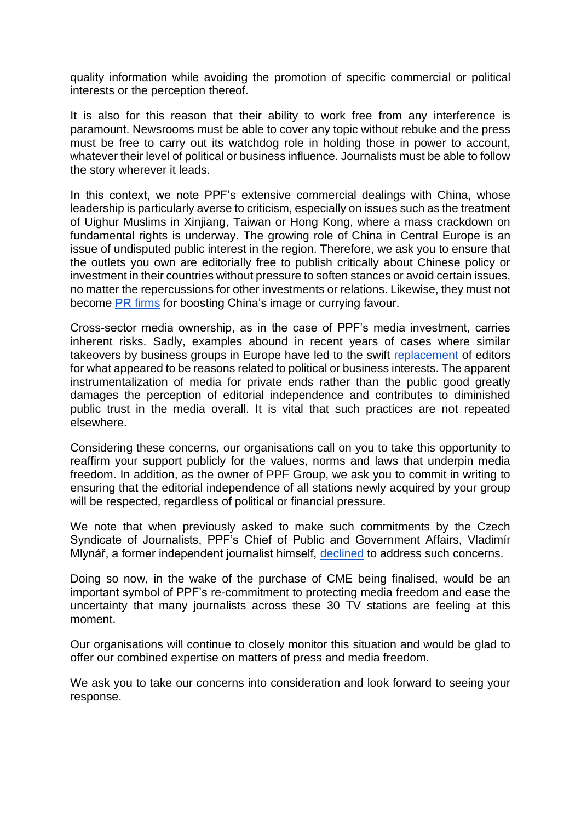quality information while avoiding the promotion of specific commercial or political interests or the perception thereof.

It is also for this reason that their ability to work free from any interference is paramount. Newsrooms must be able to cover any topic without rebuke and the press must be free to carry out its watchdog role in holding those in power to account, whatever their level of political or business influence. Journalists must be able to follow the story wherever it leads.

In this context, we note PPF's extensive commercial dealings with China, whose leadership is particularly averse to criticism, especially on issues such as the treatment of Uighur Muslims in Xinjiang, Taiwan or Hong Kong, where a mass crackdown on fundamental rights is underway. The growing role of China in Central Europe is an issue of undisputed public interest in the region. Therefore, we ask you to ensure that the outlets you own are editorially free to publish critically about Chinese policy or investment in their countries without pressure to soften stances or avoid certain issues, no matter the repercussions for other investments or relations. Likewise, they must not become [PR firms](https://www.theguardian.com/world/2020/jan/05/china-buying-influence-czech-republic-loan-company) for boosting China's image or currying favour.

Cross-sector media ownership, as in the case of PPF's media investment, carries inherent risks. Sadly, examples abound in recent years of cases where similar takeovers by business groups in Europe have led to the swift [replacement](https://www.nytimes.com/2019/05/26/business/media/daniel-kretinsky-le-monde.html) of editors for what appeared to be reasons related to political or business interests. The apparent instrumentalization of media for private ends rather than the public good greatly damages the perception of editorial independence and contributes to diminished public trust in the media overall. It is vital that such practices are not repeated elsewhere.

Considering these concerns, our organisations call on you to take this opportunity to reaffirm your support publicly for the values, norms and laws that underpin media freedom. In addition, as the owner of PPF Group, we ask you to commit in writing to ensuring that the editorial independence of all stations newly acquired by your group will be respected, regardless of political or financial pressure.

We note that when previously asked to make such commitments by the Czech Syndicate of Journalists, PPF's Chief of Public and Government Affairs, Vladimír Mlynář, a former independent journalist himself, [declined](https://www.total-slovenia-news.com/business/5038-background-fall-in-independence-of-czech-media-may-impact-slovenia-too) to address such concerns.

Doing so now, in the wake of the purchase of CME being finalised, would be an important symbol of PPF's re-commitment to protecting media freedom and ease the uncertainty that many journalists across these 30 TV stations are feeling at this moment.

Our organisations will continue to closely monitor this situation and would be glad to offer our combined expertise on matters of press and media freedom.

We ask you to take our concerns into consideration and look forward to seeing your response.